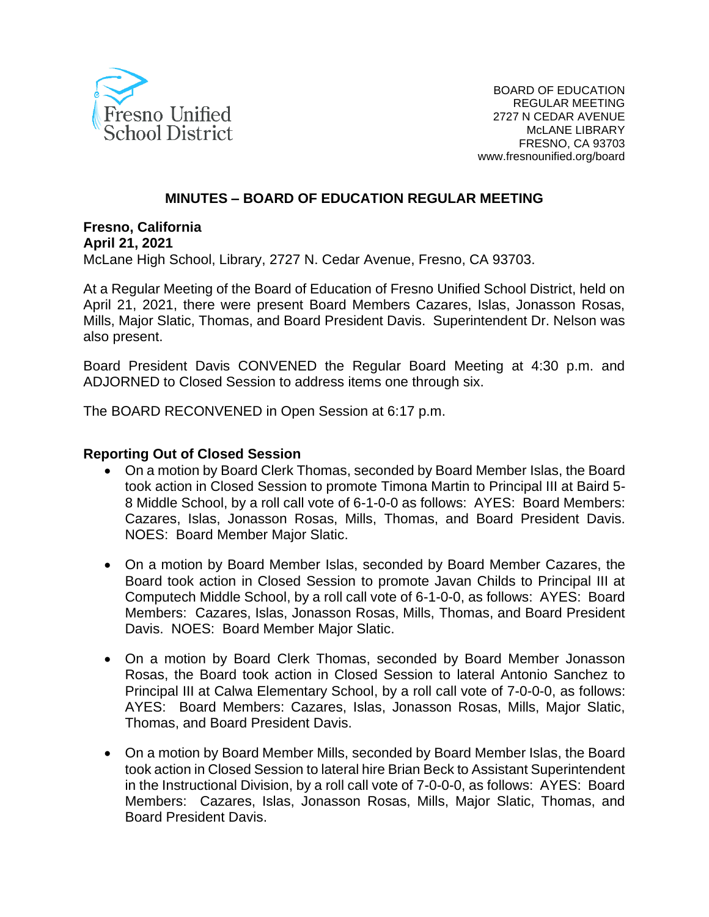

### **MINUTES – BOARD OF EDUCATION REGULAR MEETING**

**Fresno, California April 21, 2021** McLane High School, Library, 2727 N. Cedar Avenue, Fresno, CA 93703.

At a Regular Meeting of the Board of Education of Fresno Unified School District, held on April 21, 2021, there were present Board Members Cazares, Islas, Jonasson Rosas, Mills, Major Slatic, Thomas, and Board President Davis. Superintendent Dr. Nelson was also present.

Board President Davis CONVENED the Regular Board Meeting at 4:30 p.m. and ADJORNED to Closed Session to address items one through six.

The BOARD RECONVENED in Open Session at 6:17 p.m.

#### **Reporting Out of Closed Session**

- On a motion by Board Clerk Thomas, seconded by Board Member Islas, the Board took action in Closed Session to promote Timona Martin to Principal III at Baird 5- 8 Middle School, by a roll call vote of 6-1-0-0 as follows: AYES: Board Members: Cazares, Islas, Jonasson Rosas, Mills, Thomas, and Board President Davis. NOES: Board Member Major Slatic.
- On a motion by Board Member Islas, seconded by Board Member Cazares, the Board took action in Closed Session to promote Javan Childs to Principal III at Computech Middle School, by a roll call vote of 6-1-0-0, as follows: AYES: Board Members: Cazares, Islas, Jonasson Rosas, Mills, Thomas, and Board President Davis. NOES: Board Member Major Slatic.
- On a motion by Board Clerk Thomas, seconded by Board Member Jonasson Rosas, the Board took action in Closed Session to lateral Antonio Sanchez to Principal III at Calwa Elementary School, by a roll call vote of 7-0-0-0, as follows: AYES: Board Members: Cazares, Islas, Jonasson Rosas, Mills, Major Slatic, Thomas, and Board President Davis.
- On a motion by Board Member Mills, seconded by Board Member Islas, the Board took action in Closed Session to lateral hire Brian Beck to Assistant Superintendent in the Instructional Division, by a roll call vote of 7-0-0-0, as follows: AYES: Board Members: Cazares, Islas, Jonasson Rosas, Mills, Major Slatic, Thomas, and Board President Davis.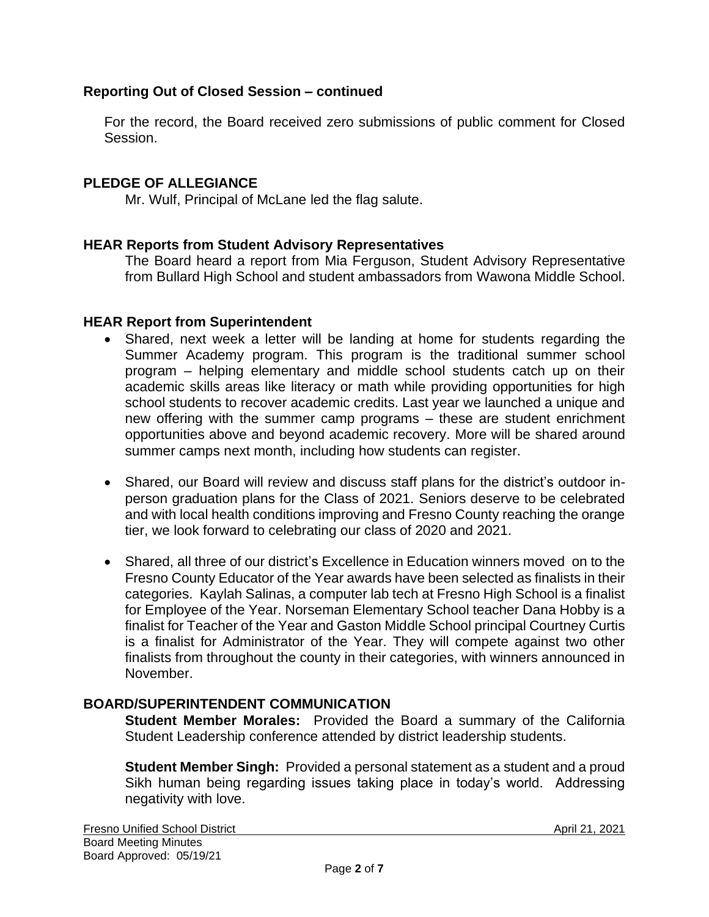### **Reporting Out of Closed Session – continued**

For the record, the Board received zero submissions of public comment for Closed Session.

### **PLEDGE OF ALLEGIANCE**

Mr. Wulf, Principal of McLane led the flag salute.

#### **HEAR Reports from Student Advisory Representatives**

The Board heard a report from Mia Ferguson, Student Advisory Representative from Bullard High School and student ambassadors from Wawona Middle School.

#### **HEAR Report from Superintendent**

- Shared, next week a letter will be landing at home for students regarding the Summer Academy program. This program is the traditional summer school program – helping elementary and middle school students catch up on their academic skills areas like literacy or math while providing opportunities for high school students to recover academic credits. Last year we launched a unique and new offering with the summer camp programs – these are student enrichment opportunities above and beyond academic recovery. More will be shared around summer camps next month, including how students can register.
- Shared, our Board will review and discuss staff plans for the district's outdoor inperson graduation plans for the Class of 2021. Seniors deserve to be celebrated and with local health conditions improving and Fresno County reaching the orange tier, we look forward to celebrating our class of 2020 and 2021.
- Shared, all three of our district's Excellence in Education winners moved on to the Fresno County Educator of the Year awards have been selected as finalists in their categories. Kaylah Salinas, a computer lab tech at Fresno High School is a finalist for Employee of the Year. Norseman Elementary School teacher Dana Hobby is a finalist for Teacher of the Year and Gaston Middle School principal Courtney Curtis is a finalist for Administrator of the Year. They will compete against two other finalists from throughout the county in their categories, with winners announced in November.

### **BOARD/SUPERINTENDENT COMMUNICATION**

**Student Member Morales:** Provided the Board a summary of the California Student Leadership conference attended by district leadership students.

**Student Member Singh:** Provided a personal statement as a student and a proud Sikh human being regarding issues taking place in today's world. Addressing negativity with love.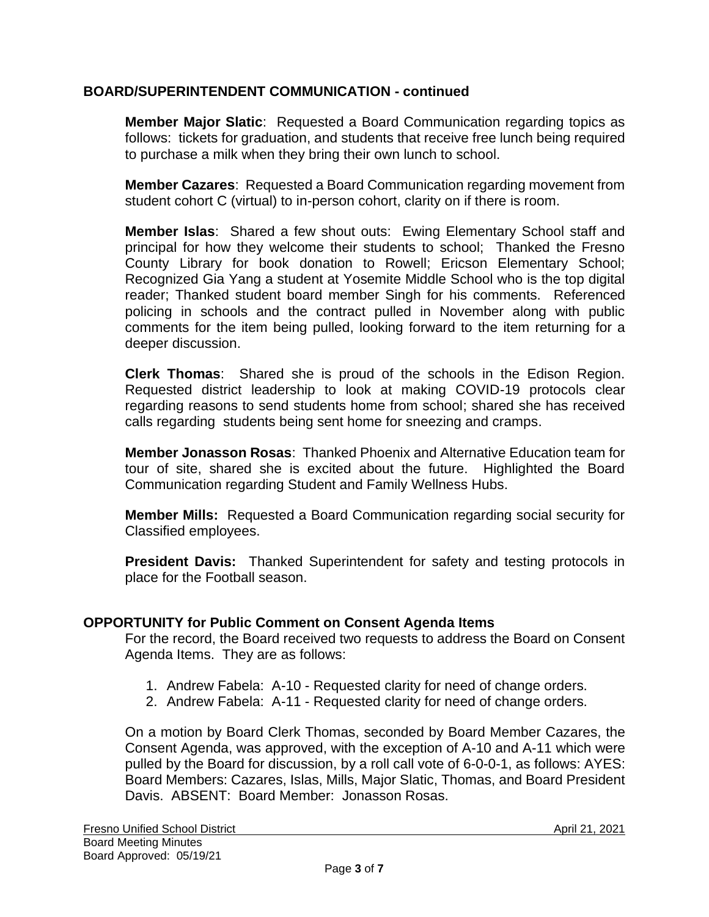### **BOARD/SUPERINTENDENT COMMUNICATION - continued**

**Member Major Slatic**: Requested a Board Communication regarding topics as follows: tickets for graduation, and students that receive free lunch being required to purchase a milk when they bring their own lunch to school.

**Member Cazares**: Requested a Board Communication regarding movement from student cohort C (virtual) to in-person cohort, clarity on if there is room.

**Member Islas**: Shared a few shout outs: Ewing Elementary School staff and principal for how they welcome their students to school; Thanked the Fresno County Library for book donation to Rowell; Ericson Elementary School; Recognized Gia Yang a student at Yosemite Middle School who is the top digital reader; Thanked student board member Singh for his comments. Referenced policing in schools and the contract pulled in November along with public comments for the item being pulled, looking forward to the item returning for a deeper discussion.

**Clerk Thomas**: Shared she is proud of the schools in the Edison Region. Requested district leadership to look at making COVID-19 protocols clear regarding reasons to send students home from school; shared she has received calls regarding students being sent home for sneezing and cramps.

**Member Jonasson Rosas**: Thanked Phoenix and Alternative Education team for tour of site, shared she is excited about the future. Highlighted the Board Communication regarding Student and Family Wellness Hubs.

**Member Mills:** Requested a Board Communication regarding social security for Classified employees.

**President Davis:** Thanked Superintendent for safety and testing protocols in place for the Football season.

### **OPPORTUNITY for Public Comment on Consent Agenda Items**

For the record, the Board received two requests to address the Board on Consent Agenda Items. They are as follows:

- 1. Andrew Fabela: A-10 Requested clarity for need of change orders.
- 2. Andrew Fabela: A-11 Requested clarity for need of change orders.

On a motion by Board Clerk Thomas, seconded by Board Member Cazares, the Consent Agenda, was approved, with the exception of A-10 and A-11 which were pulled by the Board for discussion, by a roll call vote of 6-0-0-1, as follows: AYES: Board Members: Cazares, Islas, Mills, Major Slatic, Thomas, and Board President Davis. ABSENT: Board Member: Jonasson Rosas.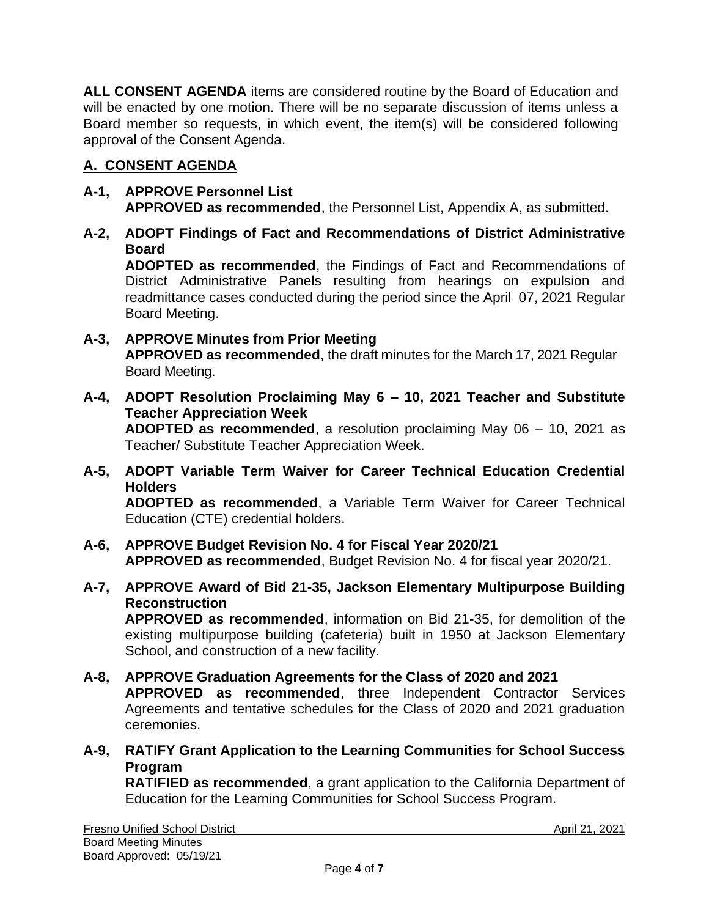**ALL CONSENT AGENDA** items are considered routine by the Board of Education and will be enacted by one motion. There will be no separate discussion of items unless a Board member so requests, in which event, the item(s) will be considered following approval of the Consent Agenda.

# **A. CONSENT AGENDA**

### **A-1, APPROVE Personnel List APPROVED as recommended**, the Personnel List, Appendix A, as submitted.

### **A-2, ADOPT Findings of Fact and Recommendations of District Administrative Board**

**ADOPTED as recommended**, the Findings of Fact and Recommendations of District Administrative Panels resulting from hearings on expulsion and readmittance cases conducted during the period since the April 07, 2021 Regular Board Meeting.

### **A-3, APPROVE Minutes from Prior Meeting APPROVED as recommended**, the draft minutes for the March 17, 2021 Regular Board Meeting.

**A-4, ADOPT Resolution Proclaiming May 6 – 10, 2021 Teacher and Substitute Teacher Appreciation Week ADOPTED as recommended**, a resolution proclaiming May 06 – 10, 2021 as

Teacher/ Substitute Teacher Appreciation Week.

- **A-5, ADOPT Variable Term Waiver for Career Technical Education Credential Holders ADOPTED as recommended**, a Variable Term Waiver for Career Technical Education (CTE) credential holders.
- **A-6, APPROVE Budget Revision No. 4 for Fiscal Year 2020/21 APPROVED as recommended**, Budget Revision No. 4 for fiscal year 2020/21.
- **A-7, APPROVE Award of Bid 21-35, Jackson Elementary Multipurpose Building Reconstruction APPROVED as recommended**, information on Bid 21-35, for demolition of the existing multipurpose building (cafeteria) built in 1950 at Jackson Elementary School, and construction of a new facility.
- **A-8, APPROVE Graduation Agreements for the Class of 2020 and 2021 APPROVED as recommended**, three Independent Contractor Services Agreements and tentative schedules for the Class of 2020 and 2021 graduation ceremonies.
- **A-9, RATIFY Grant Application to the Learning Communities for School Success Program RATIFIED as recommended**, a grant application to the California Department of

Education for the Learning Communities for School Success Program.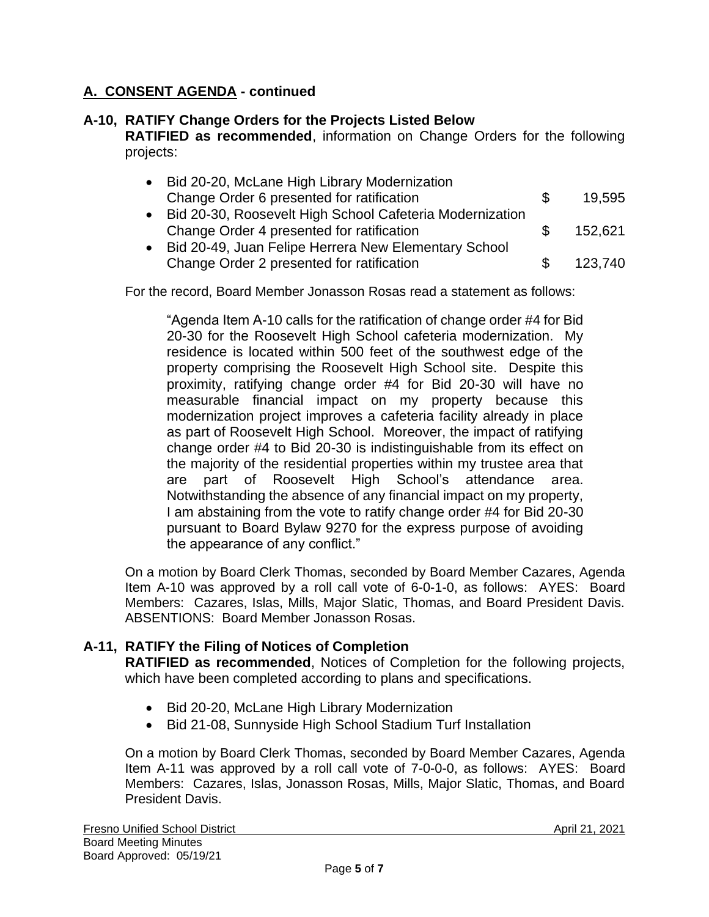# **A. CONSENT AGENDA - continued**

### **A-10, RATIFY Change Orders for the Projects Listed Below**

**RATIFIED as recommended**, information on Change Orders for the following projects:

|           | Bid 20-20, McLane High Library Modernization             |     |         |
|-----------|----------------------------------------------------------|-----|---------|
|           | Change Order 6 presented for ratification                | æ.  | 19,595  |
| $\bullet$ | Bid 20-30, Roosevelt High School Cafeteria Modernization |     |         |
|           | Change Order 4 presented for ratification                | æ.  | 152,621 |
|           | Bid 20-49, Juan Felipe Herrera New Elementary School     |     |         |
|           | Change Order 2 presented for ratification                | \$. | 123.740 |

For the record, Board Member Jonasson Rosas read a statement as follows:

"Agenda Item A-10 calls for the ratification of change order #4 for Bid 20-30 for the Roosevelt High School cafeteria modernization. My residence is located within 500 feet of the southwest edge of the property comprising the Roosevelt High School site. Despite this proximity, ratifying change order #4 for Bid 20-30 will have no measurable financial impact on my property because this modernization project improves a cafeteria facility already in place as part of Roosevelt High School. Moreover, the impact of ratifying change order #4 to Bid 20-30 is indistinguishable from its effect on the majority of the residential properties within my trustee area that are part of Roosevelt High School's attendance area. Notwithstanding the absence of any financial impact on my property, I am abstaining from the vote to ratify change order #4 for Bid 20-30 pursuant to Board Bylaw 9270 for the express purpose of avoiding the appearance of any conflict."

On a motion by Board Clerk Thomas, seconded by Board Member Cazares, Agenda Item A-10 was approved by a roll call vote of 6-0-1-0, as follows: AYES: Board Members: Cazares, Islas, Mills, Major Slatic, Thomas, and Board President Davis. ABSENTIONS: Board Member Jonasson Rosas.

### **A-11, RATIFY the Filing of Notices of Completion**

**RATIFIED as recommended**, Notices of Completion for the following projects, which have been completed according to plans and specifications.

- Bid 20-20, McLane High Library Modernization
- Bid 21-08, Sunnyside High School Stadium Turf Installation

On a motion by Board Clerk Thomas, seconded by Board Member Cazares, Agenda Item A-11 was approved by a roll call vote of 7-0-0-0, as follows: AYES: Board Members: Cazares, Islas, Jonasson Rosas, Mills, Major Slatic, Thomas, and Board President Davis.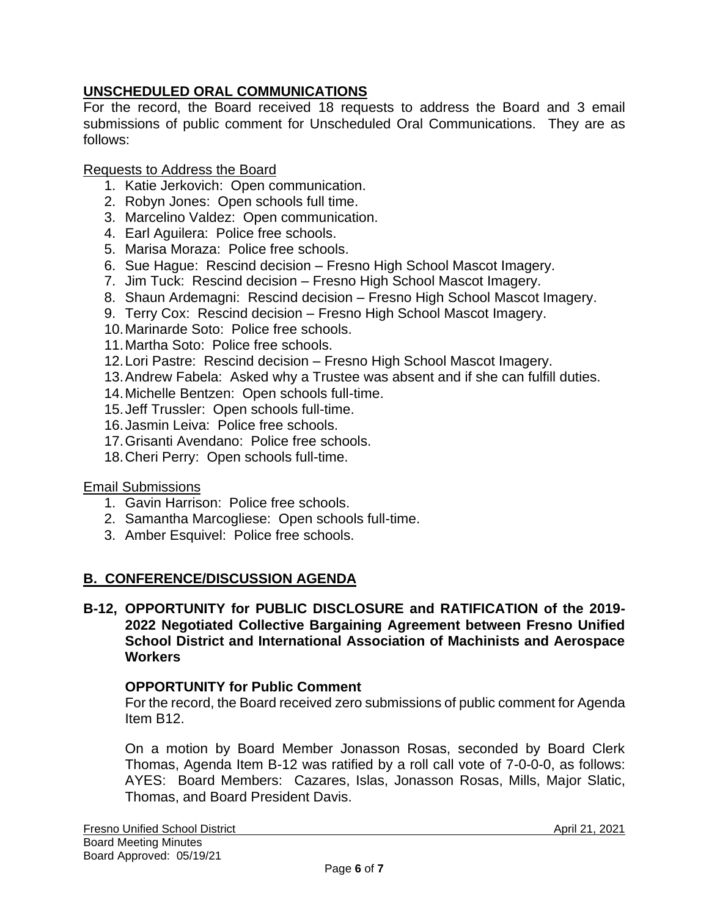# **UNSCHEDULED ORAL COMMUNICATIONS**

For the record, the Board received 18 requests to address the Board and 3 email submissions of public comment for Unscheduled Oral Communications. They are as follows:

Requests to Address the Board

- 1. Katie Jerkovich: Open communication.
- 2. Robyn Jones: Open schools full time.
- 3. Marcelino Valdez: Open communication.
- 4. Earl Aguilera: Police free schools.
- 5. Marisa Moraza: Police free schools.
- 6. Sue Hague: Rescind decision Fresno High School Mascot Imagery.
- 7. Jim Tuck: Rescind decision Fresno High School Mascot Imagery.
- 8. Shaun Ardemagni: Rescind decision Fresno High School Mascot Imagery.
- 9. Terry Cox: Rescind decision Fresno High School Mascot Imagery.
- 10.Marinarde Soto: Police free schools.
- 11.Martha Soto: Police free schools.
- 12.Lori Pastre: Rescind decision Fresno High School Mascot Imagery.
- 13.Andrew Fabela: Asked why a Trustee was absent and if she can fulfill duties.
- 14.Michelle Bentzen: Open schools full-time.
- 15.Jeff Trussler: Open schools full-time.
- 16.Jasmin Leiva: Police free schools.
- 17.Grisanti Avendano: Police free schools.
- 18.Cheri Perry: Open schools full-time.

### Email Submissions

- 1. Gavin Harrison: Police free schools.
- 2. Samantha Marcogliese: Open schools full-time.
- 3. Amber Esquivel: Police free schools.

### **B. CONFERENCE/DISCUSSION AGENDA**

### **B-12, OPPORTUNITY for PUBLIC DISCLOSURE and RATIFICATION of the 2019- 2022 Negotiated Collective Bargaining Agreement between Fresno Unified School District and International Association of Machinists and Aerospace Workers**

### **OPPORTUNITY for Public Comment**

For the record, the Board received zero submissions of public comment for Agenda Item B12.

On a motion by Board Member Jonasson Rosas, seconded by Board Clerk Thomas, Agenda Item B-12 was ratified by a roll call vote of 7-0-0-0, as follows: AYES: Board Members: Cazares, Islas, Jonasson Rosas, Mills, Major Slatic, Thomas, and Board President Davis.